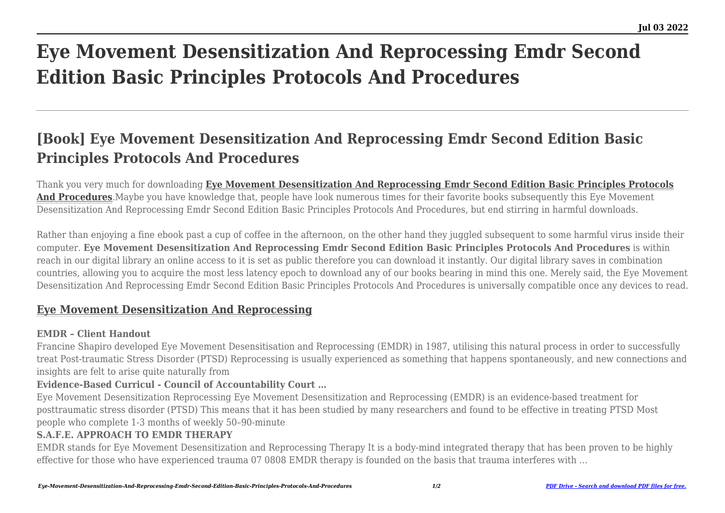# **Eye Movement Desensitization And Reprocessing Emdr Second Edition Basic Principles Protocols And Procedures**

# **[Book] Eye Movement Desensitization And Reprocessing Emdr Second Edition Basic Principles Protocols And Procedures**

Thank you very much for downloading **[Eye Movement Desensitization And Reprocessing Emdr Second Edition Basic Principles Protocols](http://jessicaberan.com) [And Procedures](http://jessicaberan.com).**Maybe you have knowledge that, people have look numerous times for their favorite books subsequently this Eye Movement Desensitization And Reprocessing Emdr Second Edition Basic Principles Protocols And Procedures, but end stirring in harmful downloads.

Rather than enjoying a fine ebook past a cup of coffee in the afternoon, on the other hand they juggled subsequent to some harmful virus inside their computer. **Eye Movement Desensitization And Reprocessing Emdr Second Edition Basic Principles Protocols And Procedures** is within reach in our digital library an online access to it is set as public therefore you can download it instantly. Our digital library saves in combination countries, allowing you to acquire the most less latency epoch to download any of our books bearing in mind this one. Merely said, the Eye Movement Desensitization And Reprocessing Emdr Second Edition Basic Principles Protocols And Procedures is universally compatible once any devices to read.

# **[Eye Movement Desensitization And Reprocessing](http://jessicaberan.com/Eye-Movement-Desensitization-And-Reprocessing-Emdr-Second-Edition-Basic-Principles-Protocols-And-Procedures.pdf)**

### **EMDR – Client Handout**

Francine Shapiro developed Eye Movement Desensitisation and Reprocessing (EMDR) in 1987, utilising this natural process in order to successfully treat Post-traumatic Stress Disorder (PTSD) Reprocessing is usually experienced as something that happens spontaneously, and new connections and insights are felt to arise quite naturally from

## **Evidence-Based Curricul - Council of Accountability Court …**

Eye Movement Desensitization Reprocessing Eye Movement Desensitization and Reprocessing (EMDR) is an evidence-based treatment for posttraumatic stress disorder (PTSD) This means that it has been studied by many researchers and found to be effective in treating PTSD Most people who complete 1-3 months of weekly 50–90-minute

#### **S.A.F.E. APPROACH TO EMDR THERAPY**

EMDR stands for Eye Movement Desensitization and Reprocessing Therapy It is a body-mind integrated therapy that has been proven to be highly effective for those who have experienced trauma 07 0808 EMDR therapy is founded on the basis that trauma interferes with …